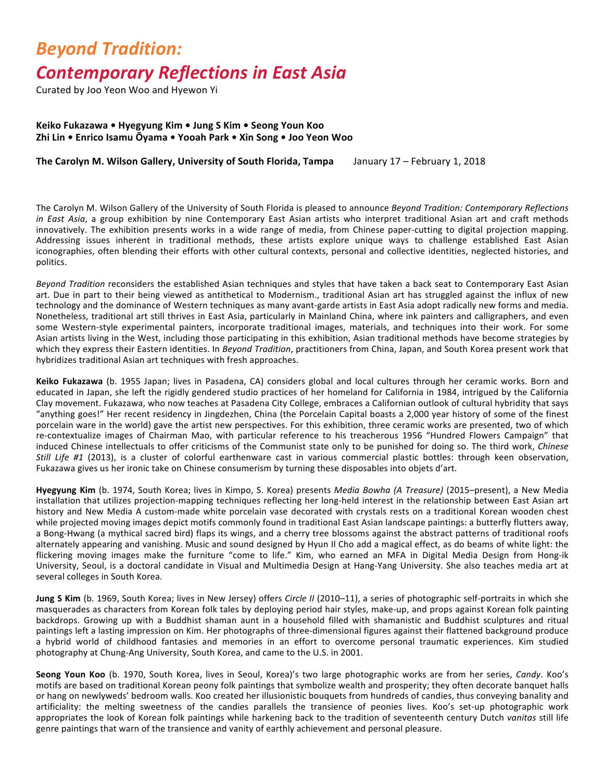## **Beyond Tradition: Contemporary Reflections in East Asia**

Curated by Joo Yeon Woo and Hyewon Yi

## **Keiko Fukazawa • Hyegyung Kim • Jung S Kim • Seong Youn Koo Zhi Lin • Enrico Isamu Ōyama • Yooah Park • Xin Song • Joo Yeon Woo**

**The Carolyn M. Wilson Gallery, University of South Florida, Tampa** January 17 – February 1, 2018

The Carolyn M. Wilson Gallery of the University of South Florida is pleased to announce *Beyond Tradition: Contemporary Reflections in* East Asia, a group exhibition by nine Contemporary East Asian artists who interpret traditional Asian art and craft methods innovatively. The exhibition presents works in a wide range of media, from Chinese paper-cutting to digital projection mapping. Addressing issues inherent in traditional methods, these artists explore unique ways to challenge established East Asian iconographies, often blending their efforts with other cultural contexts, personal and collective identities, neglected histories, and politics. 

Beyond Tradition reconsiders the established Asian techniques and styles that have taken a back seat to Contemporary East Asian art. Due in part to their being viewed as antithetical to Modernism., traditional Asian art has struggled against the influx of new technology and the dominance of Western techniques as many avant-garde artists in East Asia adopt radically new forms and media. Nonetheless, traditional art still thrives in East Asia, particularly in Mainland China, where ink painters and calligraphers, and even some Western-style experimental painters, incorporate traditional images, materials, and techniques into their work. For some Asian artists living in the West, including those participating in this exhibition, Asian traditional methods have become strategies by which they express their Eastern identities. In *Beyond Tradition*, practitioners from China, Japan, and South Korea present work that hybridizes traditional Asian art techniques with fresh approaches.

Keiko Fukazawa (b. 1955 Japan; lives in Pasadena, CA) considers global and local cultures through her ceramic works. Born and educated in Japan, she left the rigidly gendered studio practices of her homeland for California in 1984, intrigued by the California Clay movement. Fukazawa, who now teaches at Pasadena City College, embraces a Californian outlook of cultural hybridity that says "anything goes!" Her recent residency in Jingdezhen, China (the Porcelain Capital boasts a 2,000 year history of some of the finest porcelain ware in the world) gave the artist new perspectives. For this exhibition, three ceramic works are presented, two of which re-contextualize images of Chairman Mao, with particular reference to his treacherous 1956 "Hundred Flowers Campaign" that induced Chinese intellectuals to offer criticisms of the Communist state only to be punished for doing so. The third work, *Chinese Still Life #1* (2013), is a cluster of colorful earthenware cast in various commercial plastic bottles: through keen observation, Fukazawa gives us her ironic take on Chinese consumerism by turning these disposables into objets d'art.

**Hyegyung Kim** (b. 1974, South Korea; lives in Kimpo, S. Korea) presents *Media Bowha (A Treasure)* (2015–present), a New Media installation that utilizes projection-mapping techniques reflecting her long-held interest in the relationship between East Asian art history and New Media A custom-made white porcelain vase decorated with crystals rests on a traditional Korean wooden chest while projected moving images depict motifs commonly found in traditional East Asian landscape paintings: a butterfly flutters away, a Bong-Hwang (a mythical sacred bird) flaps its wings, and a cherry tree blossoms against the abstract patterns of traditional roofs alternately appearing and vanishing. Music and sound designed by Hyun II Cho add a magical effect, as do beams of white light: the flickering moving images make the furniture "come to life." Kim, who earned an MFA in Digital Media Design from Hong-ik University, Seoul, is a doctoral candidate in Visual and Multimedia Design at Hang-Yang University. She also teaches media art at several colleges in South Korea.

**Jung S Kim** (b. 1969, South Korea; lives in New Jersey) offers *Circle II* (2010–11), a series of photographic self-portraits in which she masquerades as characters from Korean folk tales by deploving period hair styles, make-up, and props against Korean folk painting backdrops. Growing up with a Buddhist shaman aunt in a household filled with shamanistic and Buddhist sculptures and ritual paintings left a lasting impression on Kim. Her photographs of three-dimensional figures against their flattened background produce a hybrid world of childhood fantasies and memories in an effort to overcome personal traumatic experiences. Kim studied photography at Chung-Ang University, South Korea, and came to the U.S. in 2001.

Seong Youn Koo (b. 1970, South Korea, lives in Seoul, Korea)'s two large photographic works are from her series, Candy. Koo's motifs are based on traditional Korean peony folk paintings that symbolize wealth and prosperity; they often decorate banquet halls or hang on newlyweds' bedroom walls. Koo created her illusionistic bouquets from hundreds of candies, thus conveying banality and artificiality: the melting sweetness of the candies parallels the transience of peonies lives. Koo's set-up photographic work appropriates the look of Korean folk paintings while harkening back to the tradition of seventeenth century Dutch vanitas still life genre paintings that warn of the transience and vanity of earthly achievement and personal pleasure.